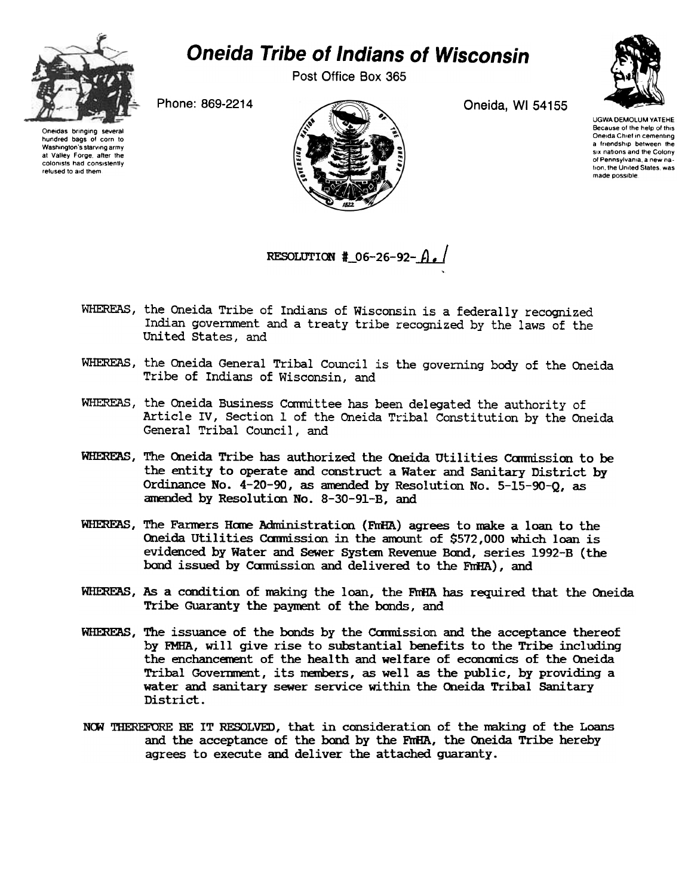

## Oneida Tribe of Indians of Wisconsin

Post Office Box 365



of Pennsylvania a new nation, the United States, was made possible

Oneidas bringing several hundred bags of corn to Washington's starving army at Valley Forge after the colonists had consistently refused to aid them



UGWA DEMOLUM YATEHE Because of the help of this Oneida Chief in cementing a friendship between the six nations and the Colony

RESOLUTION #  $06-26-92- A$ .

- WHEREAS, the Oneida Tribe of Indians of Wisconsin is a federally recognized Indian government and a treaty tribe recognized by the laws of the United states, and
- WHEREAS, the Oneida General Tribal Council is the governing body of the Oneida Tribe of Indians of Wisconsin, and
- WHEREAS, the Oneida Business Committee has been delegated the authority of Article TV, Section 1 of the Oneida Tribal Constitution by the Oneida General Tribal Council, and
- WHEREAS, The Oneida Tribe has authorized the Oneida Utilities Commission to be the entity to operate and construct a Water and Sanitary District by Ordinance No. 4-20-90, as amended by Resolution No. 5-15-90-Q, as amended by Resolution No. 8-30-91-B, and
- WHEREAS, The Farmers Home Administration (FmHA) agrees to make a loan to the Oneida Utilities Commission in the amount of \$572,000 which loan is evidenced by Water and Sewer Systan Revenue Band, series 1992-B (the bond issued by Commission and delivered to the FmHA), and
- WHEREAS, As a condition of making the loan, the FmHA has required that the Oneida Tribe Guaranty the payment of the bonds, and
- WHEREAS, The issuance of the bonds by the Commission and the acceptance thereof by FMHA, will give rise to substantial benefits to the Tribe including the enchancement of the health and welfare of economics of the Oneida Tribal Government, its members, as well as the public, by providing a water and sanitary sewer service within the Oneida Tribal Sanitary District.
- NOW THEREFORE BE IT RESOLVED, that in consideration of the making of the Loans and the acceptance of the bond by the FnHA, the Oneida Tribe hereby agrees to execute and deliver the attached guaranty.